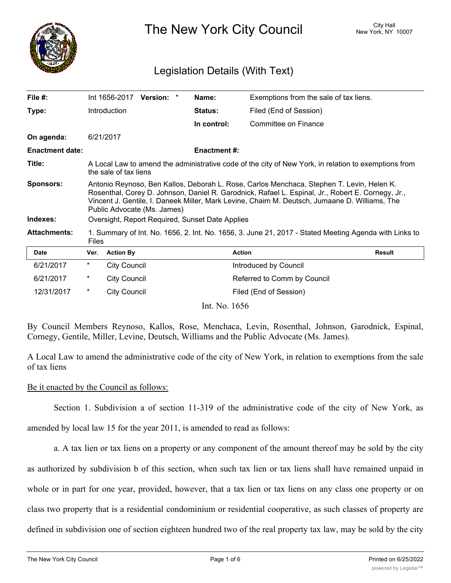

The New York City Council New York, NY 10007

# Legislation Details (With Text)

| File $#$ :             |                                                                                                                                                                                                                                                                                                                                | Int 1656-2017 Version: * |  |  | Name:               | Exemptions from the sale of tax liens. |               |
|------------------------|--------------------------------------------------------------------------------------------------------------------------------------------------------------------------------------------------------------------------------------------------------------------------------------------------------------------------------|--------------------------|--|--|---------------------|----------------------------------------|---------------|
| Type:                  |                                                                                                                                                                                                                                                                                                                                | <b>Introduction</b>      |  |  | <b>Status:</b>      | Filed (End of Session)                 |               |
|                        |                                                                                                                                                                                                                                                                                                                                |                          |  |  | In control:         | Committee on Finance                   |               |
| On agenda:             |                                                                                                                                                                                                                                                                                                                                | 6/21/2017                |  |  |                     |                                        |               |
| <b>Enactment date:</b> |                                                                                                                                                                                                                                                                                                                                |                          |  |  | <b>Enactment #:</b> |                                        |               |
| Title:                 | A Local Law to amend the administrative code of the city of New York, in relation to exemptions from<br>the sale of tax liens                                                                                                                                                                                                  |                          |  |  |                     |                                        |               |
| <b>Sponsors:</b>       | Antonio Reynoso, Ben Kallos, Deborah L. Rose, Carlos Menchaca, Stephen T. Levin, Helen K.<br>Rosenthal, Corey D. Johnson, Daniel R. Garodnick, Rafael L. Espinal, Jr., Robert E. Cornegy, Jr.,<br>Vincent J. Gentile, I. Daneek Miller, Mark Levine, Chaim M. Deutsch, Jumaane D. Williams, The<br>Public Advocate (Ms. James) |                          |  |  |                     |                                        |               |
| Indexes:               | Oversight, Report Required, Sunset Date Applies                                                                                                                                                                                                                                                                                |                          |  |  |                     |                                        |               |
| <b>Attachments:</b>    | 1. Summary of Int. No. 1656, 2. Int. No. 1656, 3. June 21, 2017 - Stated Meeting Agenda with Links to<br><b>Files</b>                                                                                                                                                                                                          |                          |  |  |                     |                                        |               |
| <b>Date</b>            | Ver.                                                                                                                                                                                                                                                                                                                           | <b>Action By</b>         |  |  |                     | <b>Action</b>                          | <b>Result</b> |
| 6/21/2017              | $^\ast$                                                                                                                                                                                                                                                                                                                        | <b>City Council</b>      |  |  |                     | Introduced by Council                  |               |
| 6/21/2017              | $^\ast$                                                                                                                                                                                                                                                                                                                        | <b>City Council</b>      |  |  |                     | Referred to Comm by Council            |               |
| 12/31/2017             | $\ast$                                                                                                                                                                                                                                                                                                                         | <b>City Council</b>      |  |  |                     | Filed (End of Session)                 |               |
|                        |                                                                                                                                                                                                                                                                                                                                |                          |  |  | Int. No. 1656       |                                        |               |

By Council Members Reynoso, Kallos, Rose, Menchaca, Levin, Rosenthal, Johnson, Garodnick, Espinal, Cornegy, Gentile, Miller, Levine, Deutsch, Williams and the Public Advocate (Ms. James).

A Local Law to amend the administrative code of the city of New York, in relation to exemptions from the sale of tax liens

#### Be it enacted by the Council as follows:

Section 1. Subdivision a of section 11-319 of the administrative code of the city of New York, as

amended by local law 15 for the year 2011, is amended to read as follows:

a. A tax lien or tax liens on a property or any component of the amount thereof may be sold by the city as authorized by subdivision b of this section, when such tax lien or tax liens shall have remained unpaid in whole or in part for one year, provided, however, that a tax lien or tax liens on any class one property or on class two property that is a residential condominium or residential cooperative, as such classes of property are defined in subdivision one of section eighteen hundred two of the real property tax law, may be sold by the city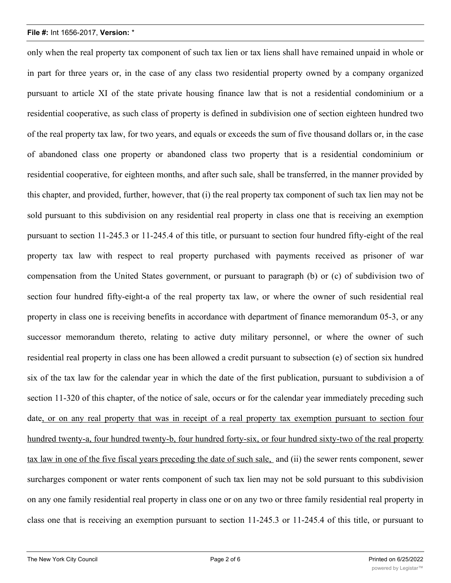only when the real property tax component of such tax lien or tax liens shall have remained unpaid in whole or in part for three years or, in the case of any class two residential property owned by a company organized pursuant to article XI of the state private housing finance law that is not a residential condominium or a residential cooperative, as such class of property is defined in subdivision one of section eighteen hundred two of the real property tax law, for two years, and equals or exceeds the sum of five thousand dollars or, in the case of abandoned class one property or abandoned class two property that is a residential condominium or residential cooperative, for eighteen months, and after such sale, shall be transferred, in the manner provided by this chapter, and provided, further, however, that (i) the real property tax component of such tax lien may not be sold pursuant to this subdivision on any residential real property in class one that is receiving an exemption pursuant to section 11-245.3 or 11-245.4 of this title, or pursuant to section four hundred fifty-eight of the real property tax law with respect to real property purchased with payments received as prisoner of war compensation from the United States government, or pursuant to paragraph (b) or (c) of subdivision two of section four hundred fifty-eight-a of the real property tax law, or where the owner of such residential real property in class one is receiving benefits in accordance with department of finance memorandum 05-3, or any successor memorandum thereto, relating to active duty military personnel, or where the owner of such residential real property in class one has been allowed a credit pursuant to subsection (e) of section six hundred six of the tax law for the calendar year in which the date of the first publication, pursuant to subdivision a of section 11-320 of this chapter, of the notice of sale, occurs or for the calendar year immediately preceding such date, or on any real property that was in receipt of a real property tax exemption pursuant to section four hundred twenty-a, four hundred twenty-b, four hundred forty-six, or four hundred sixty-two of the real property tax law in one of the five fiscal years preceding the date of such sale, and (ii) the sewer rents component, sewer surcharges component or water rents component of such tax lien may not be sold pursuant to this subdivision on any one family residential real property in class one or on any two or three family residential real property in class one that is receiving an exemption pursuant to section 11-245.3 or 11-245.4 of this title, or pursuant to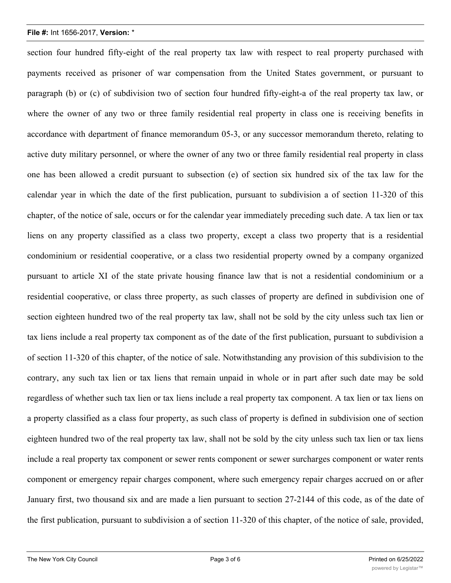section four hundred fifty-eight of the real property tax law with respect to real property purchased with payments received as prisoner of war compensation from the United States government, or pursuant to paragraph (b) or (c) of subdivision two of section four hundred fifty-eight-a of the real property tax law, or where the owner of any two or three family residential real property in class one is receiving benefits in accordance with department of finance memorandum 05-3, or any successor memorandum thereto, relating to active duty military personnel, or where the owner of any two or three family residential real property in class one has been allowed a credit pursuant to subsection (e) of section six hundred six of the tax law for the calendar year in which the date of the first publication, pursuant to subdivision a of section 11-320 of this chapter, of the notice of sale, occurs or for the calendar year immediately preceding such date. A tax lien or tax liens on any property classified as a class two property, except a class two property that is a residential condominium or residential cooperative, or a class two residential property owned by a company organized pursuant to article XI of the state private housing finance law that is not a residential condominium or a residential cooperative, or class three property, as such classes of property are defined in subdivision one of section eighteen hundred two of the real property tax law, shall not be sold by the city unless such tax lien or tax liens include a real property tax component as of the date of the first publication, pursuant to subdivision a of section 11-320 of this chapter, of the notice of sale. Notwithstanding any provision of this subdivision to the contrary, any such tax lien or tax liens that remain unpaid in whole or in part after such date may be sold regardless of whether such tax lien or tax liens include a real property tax component. A tax lien or tax liens on a property classified as a class four property, as such class of property is defined in subdivision one of section eighteen hundred two of the real property tax law, shall not be sold by the city unless such tax lien or tax liens include a real property tax component or sewer rents component or sewer surcharges component or water rents component or emergency repair charges component, where such emergency repair charges accrued on or after January first, two thousand six and are made a lien pursuant to section 27-2144 of this code, as of the date of the first publication, pursuant to subdivision a of section 11-320 of this chapter, of the notice of sale, provided,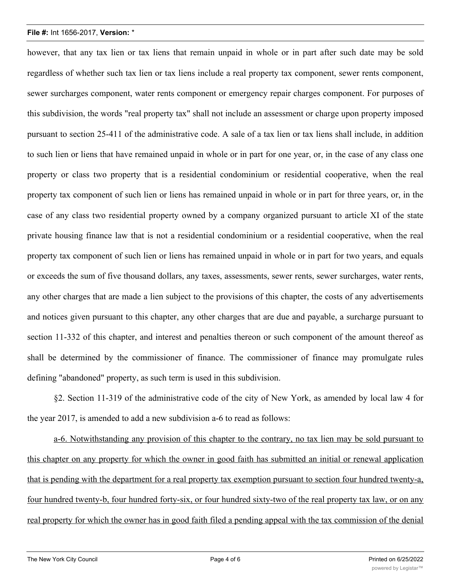however, that any tax lien or tax liens that remain unpaid in whole or in part after such date may be sold regardless of whether such tax lien or tax liens include a real property tax component, sewer rents component, sewer surcharges component, water rents component or emergency repair charges component. For purposes of this subdivision, the words "real property tax" shall not include an assessment or charge upon property imposed pursuant to section 25-411 of the administrative code. A sale of a tax lien or tax liens shall include, in addition to such lien or liens that have remained unpaid in whole or in part for one year, or, in the case of any class one property or class two property that is a residential condominium or residential cooperative, when the real property tax component of such lien or liens has remained unpaid in whole or in part for three years, or, in the case of any class two residential property owned by a company organized pursuant to article XI of the state private housing finance law that is not a residential condominium or a residential cooperative, when the real property tax component of such lien or liens has remained unpaid in whole or in part for two years, and equals or exceeds the sum of five thousand dollars, any taxes, assessments, sewer rents, sewer surcharges, water rents, any other charges that are made a lien subject to the provisions of this chapter, the costs of any advertisements and notices given pursuant to this chapter, any other charges that are due and payable, a surcharge pursuant to section 11-332 of this chapter, and interest and penalties thereon or such component of the amount thereof as shall be determined by the commissioner of finance. The commissioner of finance may promulgate rules defining "abandoned" property, as such term is used in this subdivision.

§2. Section 11-319 of the administrative code of the city of New York, as amended by local law 4 for the year 2017, is amended to add a new subdivision a-6 to read as follows:

a-6. Notwithstanding any provision of this chapter to the contrary, no tax lien may be sold pursuant to this chapter on any property for which the owner in good faith has submitted an initial or renewal application that is pending with the department for a real property tax exemption pursuant to section four hundred twenty-a, four hundred twenty-b, four hundred forty-six, or four hundred sixty-two of the real property tax law, or on any real property for which the owner has in good faith filed a pending appeal with the tax commission of the denial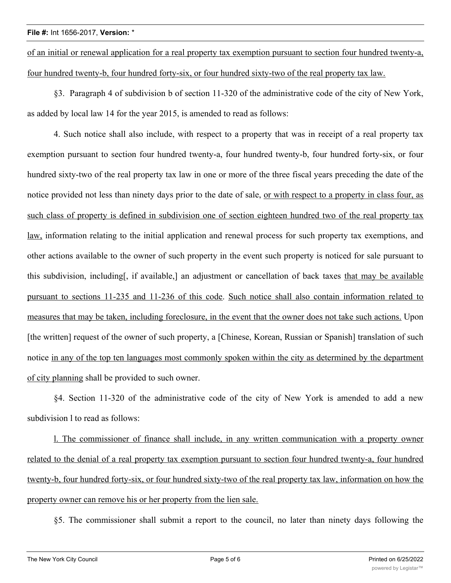of an initial or renewal application for a real property tax exemption pursuant to section four hundred twenty-a, four hundred twenty-b, four hundred forty-six, or four hundred sixty-two of the real property tax law.

§3. Paragraph 4 of subdivision b of section 11-320 of the administrative code of the city of New York, as added by local law 14 for the year 2015, is amended to read as follows:

4. Such notice shall also include, with respect to a property that was in receipt of a real property tax exemption pursuant to section four hundred twenty-a, four hundred twenty-b, four hundred forty-six, or four hundred sixty-two of the real property tax law in one or more of the three fiscal years preceding the date of the notice provided not less than ninety days prior to the date of sale, or with respect to a property in class four, as such class of property is defined in subdivision one of section eighteen hundred two of the real property tax law, information relating to the initial application and renewal process for such property tax exemptions, and other actions available to the owner of such property in the event such property is noticed for sale pursuant to this subdivision, including[, if available,] an adjustment or cancellation of back taxes that may be available pursuant to sections 11-235 and 11-236 of this code. Such notice shall also contain information related to measures that may be taken, including foreclosure, in the event that the owner does not take such actions. Upon [the written] request of the owner of such property, a [Chinese, Korean, Russian or Spanish] translation of such notice in any of the top ten languages most commonly spoken within the city as determined by the department of city planning shall be provided to such owner.

§4. Section 11-320 of the administrative code of the city of New York is amended to add a new subdivision l to read as follows:

l. The commissioner of finance shall include, in any written communication with a property owner related to the denial of a real property tax exemption pursuant to section four hundred twenty-a, four hundred twenty-b, four hundred forty-six, or four hundred sixty-two of the real property tax law, information on how the property owner can remove his or her property from the lien sale.

§5. The commissioner shall submit a report to the council, no later than ninety days following the